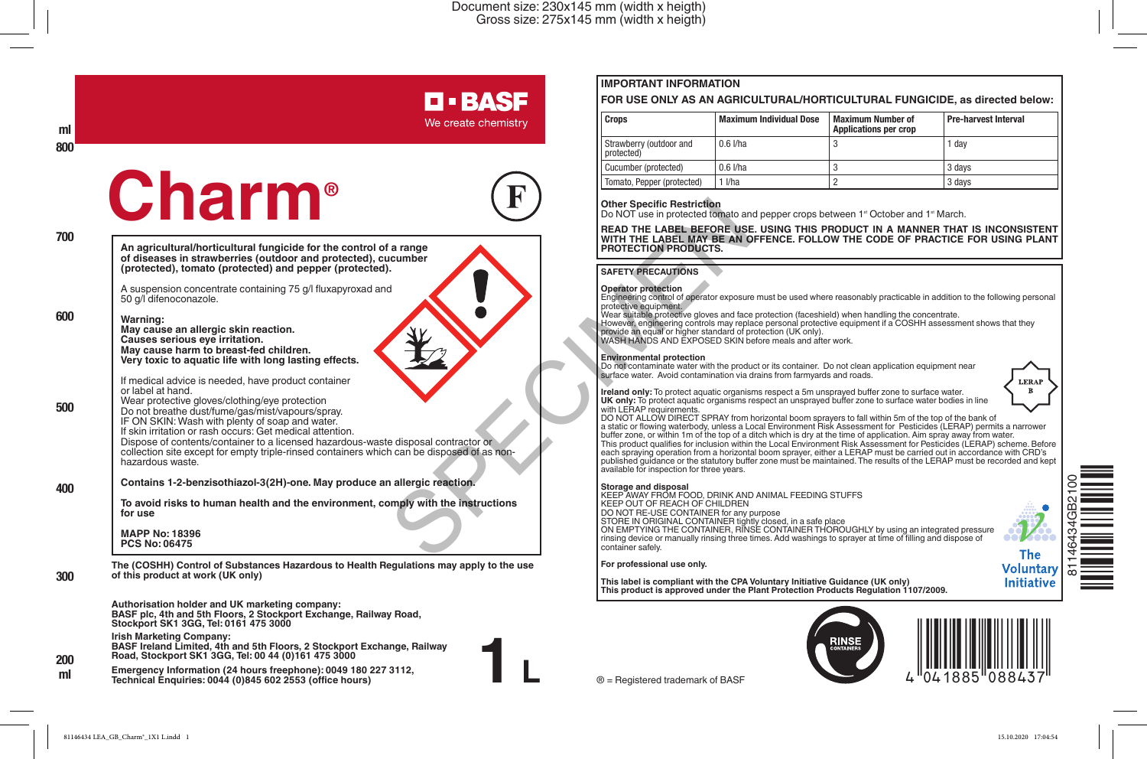# **D-BASF**

We create chemistry

# **Charm®**



**1 L**

**An agricultural/horticultural fungicide for the control of a range of diseases in strawberries (outdoor and protected), cucumber (protected), tomato (protected) and pepper (protected).**

A suspension concentrate containing 75 g/l fluxapyroxad and 50 g/l difenoconazole.

**Warning: 600**

**ml 800**

**700**

**500**

**400**

**300**

**200**

**May cause an allergic skin reaction. Causes serious eye irritation. May cause harm to breast-fed children. Very toxic to aquatic life with long lasting effects.**

If medical advice is needed, have product container or label at hand.

Wear protective gloves/clothing/eye protection Do not breathe dust/fume/gas/mist/vapours/spray. IF ON SKIN: Wash with plenty of soap and water.

If skin irritation or rash occurs: Get medical attention.

Dispose of contents/container to a licensed hazardous-waste disposal contractor or collection site except for empty triple-rinsed containers which can be disposed of as nonhazardous waste.

**Contains 1-2-benzisothiazol-3(2H)-one. May produce an allergic reaction.**

**To avoid risks to human health and the environment, comply with the instructions for use**

**MAPP No: 18396 PCS No: 06475**

**The (COSHH) Control of Substances Hazardous to Health Regulations may apply to the use of this product at work (UK only)**

**Authorisation holder and UK marketing company: BASF plc, 4th and 5th Floors, 2 Stockport Exchange, Railway Road, Stockport SK1 3GG, Tel: 0161 475 3000**

**Irish Marketing Company: BASF Ireland Limited, 4th and 5th Floors, 2 Stockport Exchange, Railway Road, Stockport SK1 3GG, Tel: 00 44 (0)161 475 3000**

**Emergency Information (24 hours freephone): 0049 180 227 3112, Technical Enquiries: 0044 (0)845 602 2553 (office hours) ml**

## **IMPORTANT INFORMATION**

#### **FOR USE ONLY AS AN AGRICULTURAL/HORTICULTURAL FUNGICIDE, as directed below:**

| Crops                                 | <b>Maximum Individual Dose</b> | <b>Maximum Number of</b><br><b>Applications per crop</b> | Pre-harvest Interval |
|---------------------------------------|--------------------------------|----------------------------------------------------------|----------------------|
| Strawberry (outdoor and<br>protected) | $0.6$ I/ha                     |                                                          | 1 dav                |
| Cucumber (protected)                  | $0.6$ I/ha                     |                                                          | 3 days               |
| Tomato, Pepper (protected)            | I/ha                           |                                                          | 3 days               |

#### **Other Specific Restriction**

Do NOT use in protected tomato and pepper crops between 1<sup>st</sup> October and 1<sup>st</sup> March.

**READ THE LABEL BEFORE USE. USING THIS PRODUCT IN A MANNER THAT IS INCONSISTENT WITH THE LABEL MAY BE AN OFFENCE. FOLLOW THE CODE OF PRACTICE FOR USING PLANT PROTECTION PRODUCTS.**

#### **SAFETY PRECAUTIONS**

**Operator protection**  Engineering control of operator exposure must be used where reasonably practicable in addition to the following personal protective equipment.

Wear suitable protective gloves and face protection (faceshield) when handling the concentrate.

However, engineering controls may replace personal protective equipment if a COSHH assessment shows that they provide an equal or higher standard of protection (UK only). WASH HANDS AND EXPOSED SKIN before meals and after work.

#### **Environmental protection**

Do not contaminate water with the product or its container. Do not clean application equipment near surface water. Avoid contamination via drains from farmyards and roads.

**Ireland only:** To protect aquatic organisms respect a 5m unsprayed buffer zone to surface water.<br>**UK only:** To protect aquatic organisms respect an unsprayed buffer zone to surface water bodies in line with LERAP requirements.

DO NOT ALLOW DIRECT SPRAY from horizontal boom sprayers to fall within 5m of the top of the bank of a static or flowing waterbody, unless a Local Environment Risk Assessment for Pesticides (LERAP) permits a narrower buffer zone, or within 1m of the top of a ditch which is dry at the time of application. Aim spray away from water. This product qualifies for inclusion within the Local Environment Risk Assessment for Pesticides (LERAP) scheme. Before each spraying operation from a horizontal boom sprayer, either a LERAP must be carried out in accordance with CRD's published guidance or the statutory buffer zone must be maintained. The results of the LERAP must be recorded and kept available for inspection for three years.

**Storage and disposal** KEEP AWAY FROM FOOD, DRINK AND ANIMAL FEEDING STUFFS KEEP OUT OF REACH OF CHILDREN DO NOT RE-USE CONTAINER for any purpose STORE IN ORIGINAL CONTAINER tightly closed, in a safe place ON EMPTYING THE CONTAINER, RINSE CONTAINER THOROUGHLY by using an integrated pressure rinsing device or manually rinsing three times. Add washings to sprayer at time of filling and dispose of container safely. Onler Special Contractor of<br>
Maria Contractor Contractor of the PRODUCTS.<br>
WITH LABEL BEFORE USE<br>
WASHERLAND THE LABEL BEFORE USE<br>
PROTECTION PRODUCTS.<br>
SAFETY PRECAUTIONS<br>
Engineering contractor of protection<br>
MASHERANDS

#### **For professional use only.**

**This label is compliant with the CPA Voluntary Initiative Guidance (UK only) This product is approved under the Plant Protection Products Regulation 1107/2009.**







® = Registered trademark of BASF

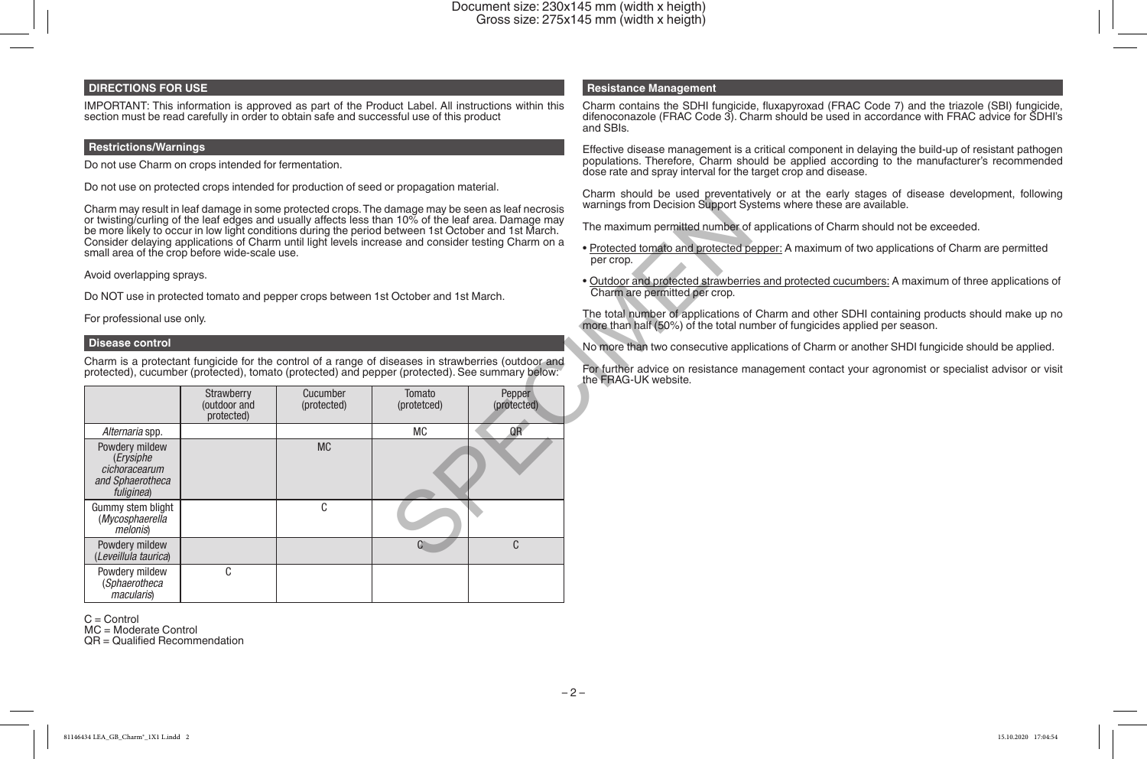## **DIRECTIONS FOR USE**

IMPORTANT: This information is approved as part of the Product Label. All instructions within this section must be read carefully in order to obtain safe and successful use of this product

#### **Restrictions/Warnings**

Do not use Charm on crops intended for fermentation.

Do not use on protected crops intended for production of seed or propagation material.

#### **Disease control**

| Charm may result in leaf damage in some protected crops. The damage may be seen as leaf necrosis<br>or twisting/curling of the leaf edges and usually affects less than 10% of the leaf area. Damage may<br>be more likely to occur in low light conditions during the period between 1st October and 1st March.<br>Consider delaying applications of Charm until light levels increase and consider testing Charm on a<br>small area of the crop before wide-scale use. | warnings from Decision Support Sys<br>The maximum permitted number of<br>· Protected tomato and protected po<br>per crop. |                         |                       |                                                                                                     |                                                                              |
|--------------------------------------------------------------------------------------------------------------------------------------------------------------------------------------------------------------------------------------------------------------------------------------------------------------------------------------------------------------------------------------------------------------------------------------------------------------------------|---------------------------------------------------------------------------------------------------------------------------|-------------------------|-----------------------|-----------------------------------------------------------------------------------------------------|------------------------------------------------------------------------------|
| Avoid overlapping sprays.                                                                                                                                                                                                                                                                                                                                                                                                                                                |                                                                                                                           |                         |                       |                                                                                                     | • Outdoor and protected strawberrie                                          |
| Do NOT use in protected tomato and pepper crops between 1st October and 1st March.                                                                                                                                                                                                                                                                                                                                                                                       | Charm are permitted per crop.                                                                                             |                         |                       |                                                                                                     |                                                                              |
| For professional use only.                                                                                                                                                                                                                                                                                                                                                                                                                                               |                                                                                                                           |                         |                       |                                                                                                     | The total number of applications of<br>more than half (50%) of the total nur |
| <b>Disease control</b>                                                                                                                                                                                                                                                                                                                                                                                                                                                   |                                                                                                                           |                         |                       |                                                                                                     | No more than two consecutive appli                                           |
| protected), cucumber (protected), tomato (protected) and pepper (protected). See summary below:                                                                                                                                                                                                                                                                                                                                                                          |                                                                                                                           |                         |                       | Charm is a protectant fungicide for the control of a range of diseases in strawberries (outdoor and | For further advice on resistance ma<br>the FRAG-UK website.                  |
|                                                                                                                                                                                                                                                                                                                                                                                                                                                                          | Strawberry<br>(outdoor and<br>protected)                                                                                  | Cucumber<br>(protected) | Tomato<br>(protetced) | Pepper<br>(protected)                                                                               |                                                                              |
| Alternaria spp.                                                                                                                                                                                                                                                                                                                                                                                                                                                          |                                                                                                                           |                         | <b>MC</b>             | QR                                                                                                  |                                                                              |
| Powdery mildew<br>(Erysiphe<br>cichoracearum<br>and Sphaerotheca<br>fuliginea)                                                                                                                                                                                                                                                                                                                                                                                           |                                                                                                                           | <b>MC</b>               |                       |                                                                                                     |                                                                              |
| Gummy stem blight<br>(Mycosphaerella<br><i>melonis</i> )                                                                                                                                                                                                                                                                                                                                                                                                                 |                                                                                                                           | C                       |                       |                                                                                                     |                                                                              |
| Powdery mildew<br>(Leveillula taurica)                                                                                                                                                                                                                                                                                                                                                                                                                                   |                                                                                                                           |                         | C.                    | C                                                                                                   |                                                                              |
| Powdery mildew<br>(Sphaerotheca<br><i>macularis</i> )                                                                                                                                                                                                                                                                                                                                                                                                                    | C                                                                                                                         |                         |                       |                                                                                                     |                                                                              |

C = Control

MC = Moderate Control

QR = Qualified Recommendation

#### **Resistance Management**

Charm contains the SDHI fungicide, fluxapyroxad (FRAC Code 7) and the triazole (SBI) fungicide, difenoconazole (FRAC Code 3). Charm should be used in accordance with FRAC advice for SDHI's and SBIs.

Effective disease management is a critical component in delaying the build-up of resistant pathogen populations. Therefore, Charm should be applied according to the manufacturer's recommended dose rate and spray interval for the target crop and disease.

Charm should be used preventatively or at the early stages of disease development, following warnings from Decision Support Systems where these are available.

The maximum permitted number of applications of Charm should not be exceeded.

• Protected tomato and protected pepper: A maximum of two applications of Charm are permitted per crop.

• Outdoor and protected strawberries and protected cucumbers: A maximum of three applications of Charm are permitted per crop.

The total number of applications of Charm and other SDHI containing products should make up no more than half (50%) of the total number of fungicides applied per season.

No more than two consecutive applications of Charm or another SHDI fungicide should be applied.

For further advice on resistance management contact your agronomist or specialist advisor or visit the FRAG-UK website.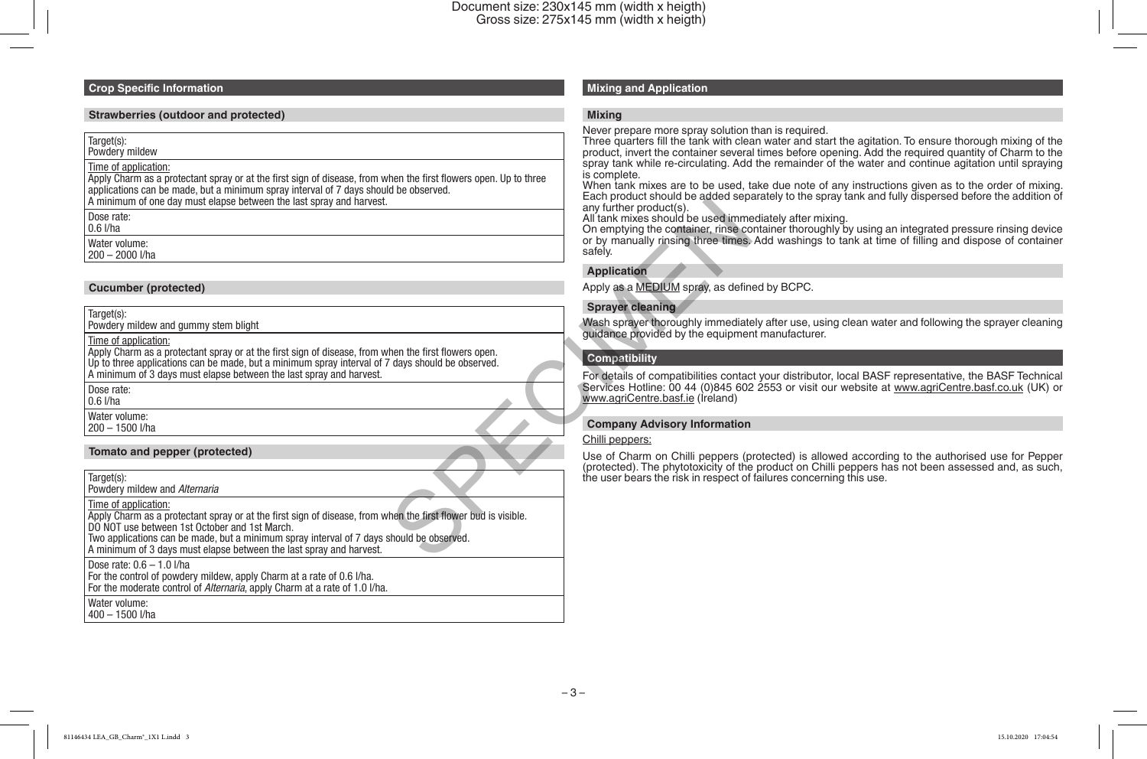#### **Crop Specific Information**

#### **Strawberries (outdoor and protected)**

Target(s):

Powdery mildew

### Time of application:

Apply Charm as a protectant spray or at the first sign of disease, from when the first flowers open. Up to three applications can be made, but a minimum spray interval of 7 days should be observed. A minimum of one day must elapse between the last spray and harvest.

Dose rate:

0.6 l/ha

Water volume:

200 – 2000 l/ha

#### **Cucumber (protected)**

Target(s): Powdery mildew and gummy stem blight

Time of application:

Apply Charm as a protectant spray or at the first sign of disease, from when the first flowers open. Up to three applications can be made, but a minimum spray interval of 7 days should be observed. A minimum of 3 days must elapse between the last spray and harvest.

Dose rate:

0.6 l/ha Water volume:

200 – 1500 l/ha

#### **Tomato and pepper (protected)**

Target(s):

Powdery mildew and *Alternaria*

Time of application:

Apply Charm as a protectant spray or at the first sign of disease, from when the first flower bud is visible. DO NOT use between 1st October and 1st March.

Two applications can be made, but a minimum spray interval of 7 days should be observed.

A minimum of 3 days must elapse between the last spray and harvest.

Dose rate: 0.6 – 1.0 l/ha

For the control of powdery mildew, apply Charm at a rate of 0.6 l/ha.

For the moderate control of *Alternaria*, apply Charm at a rate of 1.0 l/ha.

Water volume:

## 400 – 1500 l/ha

## **Mixing and Application**

#### **Mixing**

Never prepare more spray solution than is required.

Three quarters fill the tank with clean water and start the agitation. To ensure thorough mixing of the product, invert the container several times before opening. Add the required quantity of Charm to the spray tank while re-circulating. Add the remainder of the water and continue agitation until spraying is complete.

When tank mixes are to be used, take due note of any instructions given as to the order of mixing. Each product should be added separately to the spray tank and fully dispersed before the addition of any further product(s).

All tank mixes should be used immediately after mixing.

On emptying the container, rinse container thoroughly by using an integrated pressure rinsing device or by manually rinsing three times. Add washings to tank at time of filling and dispose of container safely. any further product(s).<br>
any further product(s).<br>
All tank mixing should be used inmediated on the product of the container, rinse co<br>
or by manually rinsing three times.<br>
safely.<br>
Application<br>
Apply as a MEDIUM spray, as

#### **Application**

Apply as a MEDIUM spray, as defined by BCPC.

#### **Sprayer cleaning**

Wash sprayer thoroughly immediately after use, using clean water and following the sprayer cleaning guidance provided by the equipment manufacturer.

#### **Compatibility**

For details of compatibilities contact your distributor, local BASF representative, the BASF Technical Services Hotline: 00 44 (0)845 602 2553 or visit our website at www.agriCentre.basf.co.uk (UK) or www.agriCentre.basf.ie (Ireland)

#### **Company Advisory Information**

#### Chilli peppers:

Use of Charm on Chilli peppers (protected) is allowed according to the authorised use for Pepper (protected). The phytotoxicity of the product on Chilli peppers has not been assessed and, as such, the user bears the risk in respect of failures concerning this use.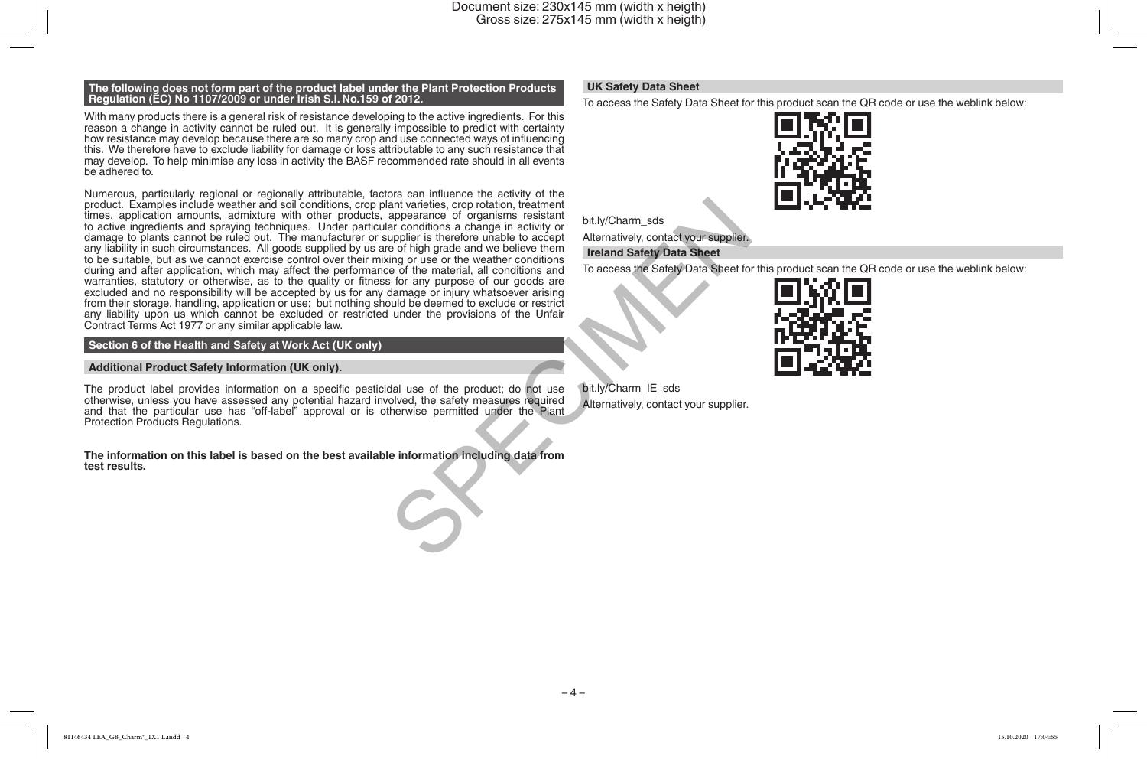#### **The following does not form part of the product label under the Plant Protection Products Regulation (EC) No 1107/2009 or under Irish S.I. No.159 of 2012.**

With many products there is a general risk of resistance developing to the active ingredients. For this reason a change in activity cannot be ruled out. It is generally impossible to predict with certainty how resistance may develop because there are so many crop and use connected ways of influencing this. We therefore have to exclude liability for damage or loss attributable to any such resistance that may develop. To help minimise any loss in activity the BASF recommended rate should in all events be adhered to.

Numerous, particularly regional or regionally attributable, factors can influence the activity of the product. Examples include weather and soil conditions, crop plant varieties, crop rotation, treatment times, application amounts, admixture with other products, appearance of organisms resistant to active ingredients and spraying techniques. Under particular conditions a change in activity or damage to plants cannot be ruled out. The manufacturer or supplier is therefore unable to accept any liability in such circumstances. All goods supplied by us are of high grade and we believe them to be suitable, but as we cannot exercise control over their mixing or use or the weather conditions during and after application, which may affect the performance of the material, all conditions and warranties, statutory or otherwise, as to the quality or fitness for any purpose of our goods are excluded and no responsibility will be accepted by us for any damage or injury whatsoever arising from their storage, handling, application or use; but nothing should be deemed to exclude or restrict any liability upon us which cannot be excluded or restricted under the provisions of the Unfair Contract Terms Act 1977 or any similar applicable law. ant varieties, crop rotation, treatment<br>appearance of organisms resisted are conditions a change in activity or<br>are conditions a change in activity or<br>puller is therefore unable to accept Alternatively, contact your suppli

#### **Section 6 of the Health and Safety at Work Act (UK only)**

#### **Additional Product Safety Information (UK only).**

The product label provides information on a specific pesticidal use of the product; do not use otherwise, unless you have assessed any potential hazard involved, the safety measures required and that the particular use has "off-label" approval or is otherwise permitted under the Plant Protection Products Regulations.

#### **The information on this label is based on the best available information including data from test results.**

#### **UK Safety Data Sheet**

To access the Safety Data Sheet for this product scan the QR code or use the weblink below:



bit.ly/Charm\_sds

Alternatively, contact your supplier.

#### **Ireland Safety Data Sheet**

To access the Safety Data Sheet for this product scan the QR code or use the weblink below:



bit.ly/Charm\_IE\_sds Alternatively, contact your supplier.